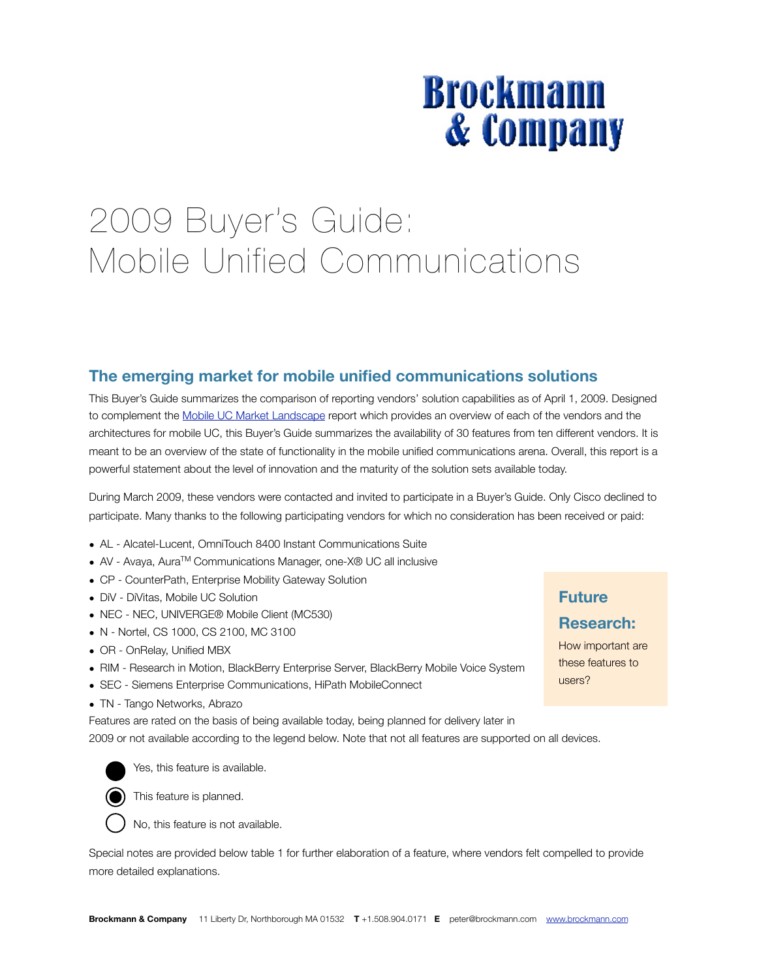# **Brockmann & Company**

## 2009 Buyer's Guide: 

Mobile Unified Communications

## **The emerging market for mobile unified communications solutions**

This Buyer's Guide summarizes the comparison of reporting vendors' solution capabilities as of April 1, 2009. Designed to complement the [Mobile UC Market Landscape](http://www.brockmann.com/index.php/abstracts/mobility-research/market-landscape-mobile-uc.html) report which provides an overview of each of the vendors and the architectures for mobile UC, this Buyer's Guide summarizes the availability of 30 features from ten different vendors. It is meant to be an overview of the state of functionality in the mobile unified communications arena. Overall, this report is a powerful statement about the level of innovation and the maturity of the solution sets available today.

During March 2009, these vendors were contacted and invited to participate in a Buyer's Guide. Only Cisco declined to participate. Many thanks to the following participating vendors for which no consideration has been received or paid:

- AL Alcatel-Lucent, OmniTouch 8400 Instant Communications Suite
- AV Avaya, Aura<sup>™</sup> Communications Manager, one-X® UC all inclusive
- CP CounterPath, Enterprise Mobility Gateway Solution
- DiV DiVitas, Mobile UC Solution
- NEC NEC, UNIVERGE® Mobile Client (MC530)
- N Nortel, CS 1000, CS 2100, MC 3100
- OR OnRelay, Unified MBX
- RIM Research in Motion, BlackBerry Enterprise Server, BlackBerry Mobile Voice System
- SEC Siemens Enterprise Communications, HiPath MobileConnect
- TN Tango Networks, Abrazo

Features are rated on the basis of being available today, being planned for delivery later in 2009 or not available according to the legend below. Note that not all features are supported on all devices.



Yes, this feature is available.



This feature is planned.



Special notes are provided below table 1 for further elaboration of a feature, where vendors felt compelled to provide more detailed explanations.

## **Future**

#### **Research:**

How important are these features to users?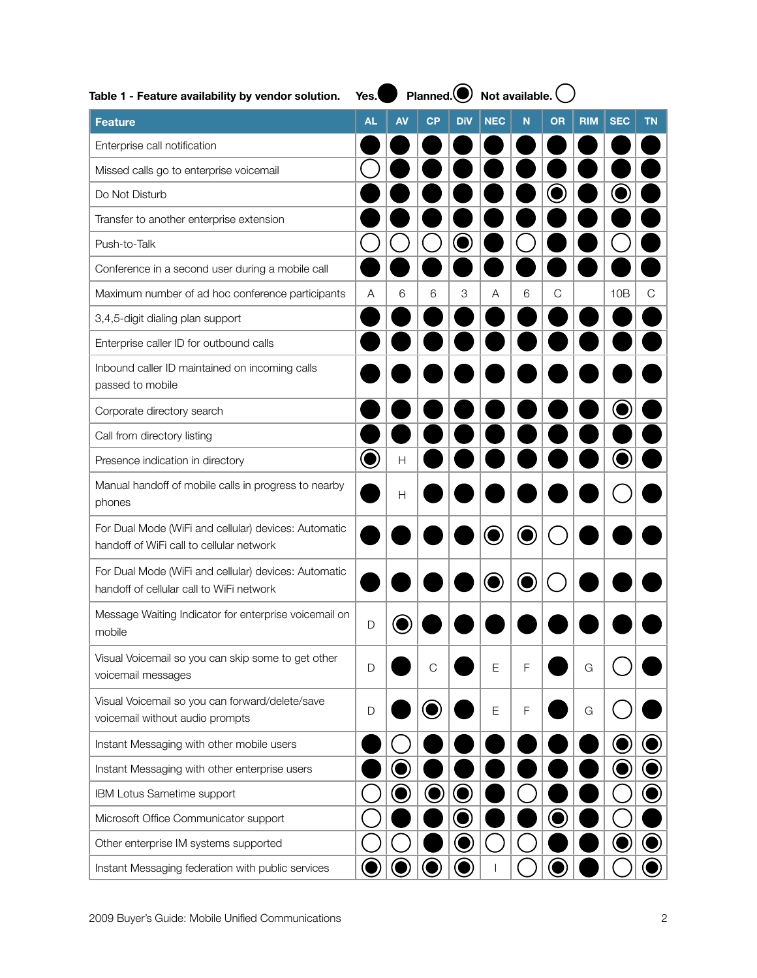| Table 1 - Feature availability by vendor solution.                                               | Yes.      |           | Planned. $\bigcirc$ Not available. |            |            |   |    |            |            |    |
|--------------------------------------------------------------------------------------------------|-----------|-----------|------------------------------------|------------|------------|---|----|------------|------------|----|
| <b>Feature</b>                                                                                   | AL        | <b>AV</b> | <b>CP</b>                          | <b>DiV</b> | <b>NEC</b> | N | OR | <b>RIM</b> | <b>SEC</b> | ΤN |
| Enterprise call notification                                                                     |           |           |                                    |            |            |   |    |            |            |    |
| Missed calls go to enterprise voicemail                                                          |           |           |                                    |            |            |   |    |            |            |    |
| Do Not Disturb                                                                                   |           |           |                                    |            |            |   |    |            |            |    |
| Transfer to another enterprise extension                                                         |           |           |                                    |            |            |   |    |            |            |    |
| Push-to-Talk                                                                                     |           |           |                                    |            |            |   |    |            |            |    |
| Conference in a second user during a mobile call                                                 |           |           |                                    |            |            |   |    |            |            |    |
| Maximum number of ad hoc conference participants                                                 | A         | 6         | 6                                  | 3          | A          | 6 | C  |            | 10B        | C  |
| 3,4,5-digit dialing plan support                                                                 |           |           |                                    |            |            |   |    |            |            |    |
| Enterprise caller ID for outbound calls                                                          |           |           |                                    |            |            |   |    |            |            |    |
| Inbound caller ID maintained on incoming calls<br>passed to mobile                               |           |           |                                    |            |            |   |    |            |            |    |
| Corporate directory search                                                                       |           |           |                                    |            |            |   |    |            |            |    |
| Call from directory listing                                                                      |           |           |                                    |            |            |   |    |            |            |    |
| Presence indication in directory                                                                 | $\bullet$ | Н         |                                    |            |            |   |    |            |            |    |
| Manual handoff of mobile calls in progress to nearby<br>phones                                   |           | H         |                                    |            |            |   |    |            |            |    |
| For Dual Mode (WiFi and cellular) devices: Automatic<br>handoff of WiFi call to cellular network |           |           |                                    |            |            |   |    |            |            |    |
| For Dual Mode (WiFi and cellular) devices: Automatic<br>handoff of cellular call to WiFi network |           |           |                                    |            |            |   |    |            |            |    |
| Message Waiting Indicator for enterprise voicemail on<br>mobile                                  | D         |           |                                    |            |            |   |    |            |            |    |
| Visual Voicemail so you can skip some to get other<br>voicemail messages                         | D         |           | $\mathsf C$                        |            | E          | F |    | G          |            |    |
| Visual Voicemail so you can forward/delete/save<br>voicemail without audio prompts               | D         |           | C                                  |            | Ε          | F |    | G          |            |    |
| Instant Messaging with other mobile users                                                        |           |           |                                    |            |            |   |    |            |            |    |
| Instant Messaging with other enterprise users                                                    |           |           |                                    |            |            |   |    |            |            |    |
| IBM Lotus Sametime support                                                                       |           |           |                                    |            |            |   |    |            |            |    |
| Microsoft Office Communicator support                                                            |           |           |                                    |            |            |   |    |            |            |    |
| Other enterprise IM systems supported                                                            |           |           |                                    |            |            |   |    |            |            |    |
| Instant Messaging federation with public services                                                |           |           |                                    |            |            |   |    |            |            |    |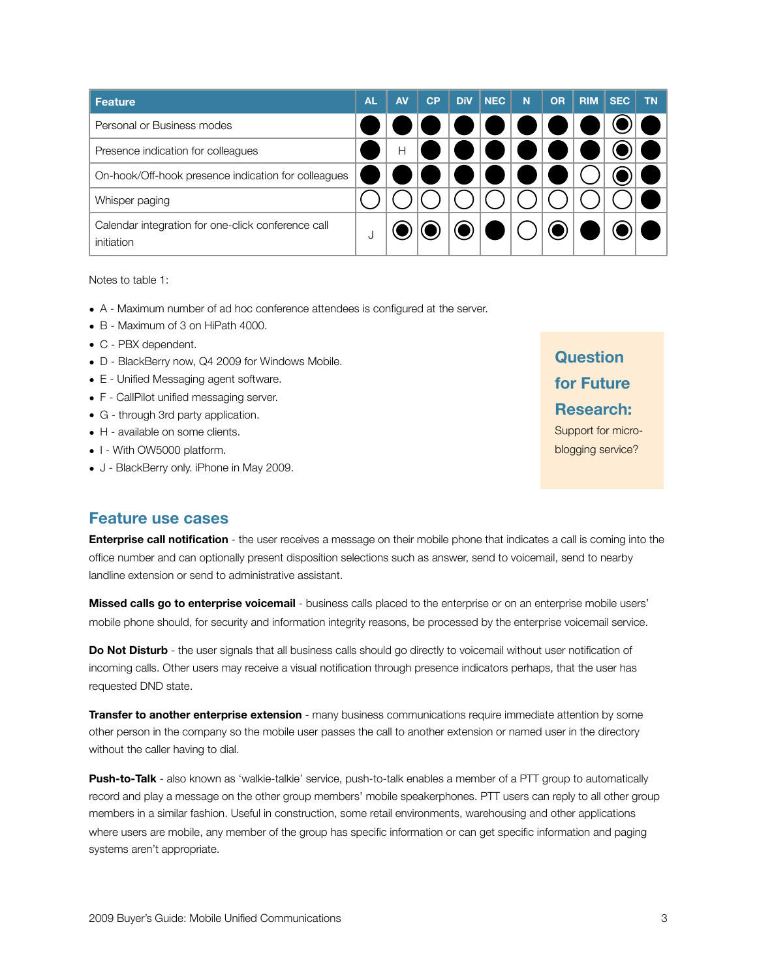| Feature                                                          | <b>AL</b> | <b>AV</b> | CP | <b>DiV</b> | <b>NEC</b> | N | <b>OR</b> | <b>RIM</b> | <b>SEC</b> | <b>TN</b> |
|------------------------------------------------------------------|-----------|-----------|----|------------|------------|---|-----------|------------|------------|-----------|
| Personal or Business modes                                       |           |           |    |            |            |   |           |            |            |           |
| Presence indication for colleagues                               |           | Н         |    |            |            |   |           |            |            |           |
| On-hook/Off-hook presence indication for colleagues              |           |           |    |            |            |   |           |            |            |           |
| Whisper paging                                                   |           |           |    |            |            |   |           |            |            |           |
| Calendar integration for one-click conference call<br>initiation |           |           |    |            |            |   |           |            |            |           |

Notes to table 1:

- A Maximum number of ad hoc conference attendees is configured at the server.
- B Maximum of 3 on HiPath 4000.
- C PBX dependent.
- D BlackBerry now, Q4 2009 for Windows Mobile.
- E Unified Messaging agent software.
- F CallPilot unified messaging server.
- G through 3rd party application.
- H available on some clients.
- I With OW5000 platform.
- J BlackBerry only. iPhone in May 2009.

#### **Feature use cases**

**Enterprise call notification** - the user receives a message on their mobile phone that indicates a call is coming into the office number and can optionally present disposition selections such as answer, send to voicemail, send to nearby landline extension or send to administrative assistant.

**Missed calls go to enterprise voicemail** - business calls placed to the enterprise or on an enterprise mobile users' mobile phone should, for security and information integrity reasons, be processed by the enterprise voicemail service.

**Do Not Disturb** - the user signals that all business calls should go directly to voicemail without user notification of incoming calls. Other users may receive a visual notification through presence indicators perhaps, that the user has requested DND state.

**Transfer to another enterprise extension** - many business communications require immediate attention by some other person in the company so the mobile user passes the call to another extension or named user in the directory without the caller having to dial.

**Push-to-Talk** - also known as 'walkie-talkie' service, push-to-talk enables a member of a PTT group to automatically record and play a message on the other group members' mobile speakerphones. PTT users can reply to all other group members in a similar fashion. Useful in construction, some retail environments, warehousing and other applications where users are mobile, any member of the group has specific information or can get specific information and paging systems aren't appropriate.

## **Question for Future Research:**

Support for microblogging service?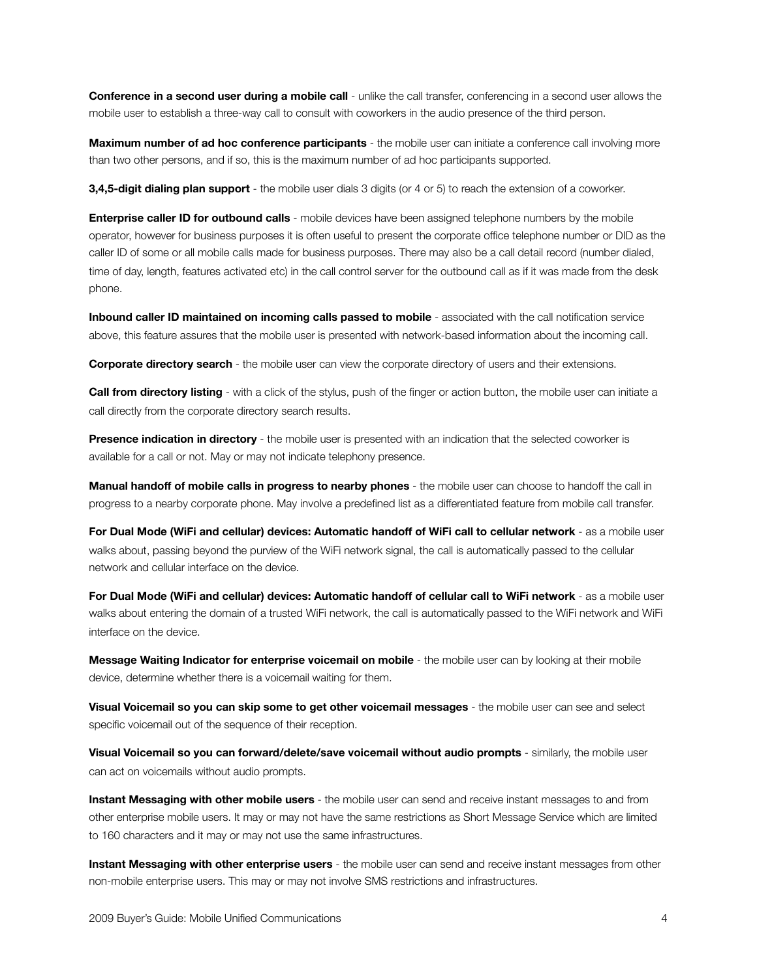**Conference in a second user during a mobile call** - unlike the call transfer, conferencing in a second user allows the mobile user to establish a three-way call to consult with coworkers in the audio presence of the third person.

**Maximum number of ad hoc conference participants** - the mobile user can initiate a conference call involving more than two other persons, and if so, this is the maximum number of ad hoc participants supported.

**3,4,5-digit dialing plan support** - the mobile user dials 3 digits (or 4 or 5) to reach the extension of a coworker.

**Enterprise caller ID for outbound calls** - mobile devices have been assigned telephone numbers by the mobile operator, however for business purposes it is often useful to present the corporate office telephone number or DID as the caller ID of some or all mobile calls made for business purposes. There may also be a call detail record (number dialed, time of day, length, features activated etc) in the call control server for the outbound call as if it was made from the desk phone.

**Inbound caller ID maintained on incoming calls passed to mobile** - associated with the call notification service above, this feature assures that the mobile user is presented with network-based information about the incoming call.

**Corporate directory search** - the mobile user can view the corporate directory of users and their extensions.

**Call from directory listing** - with a click of the stylus, push of the finger or action button, the mobile user can initiate a call directly from the corporate directory search results.

**Presence indication in directory** - the mobile user is presented with an indication that the selected coworker is available for a call or not. May or may not indicate telephony presence.

**Manual handoff of mobile calls in progress to nearby phones** - the mobile user can choose to handoff the call in progress to a nearby corporate phone. May involve a predefined list as a differentiated feature from mobile call transfer.

**For Dual Mode (WiFi and cellular) devices: Automatic handoff of WiFi call to cellular network** - as a mobile user walks about, passing beyond the purview of the WiFi network signal, the call is automatically passed to the cellular network and cellular interface on the device.

**For Dual Mode (WiFi and cellular) devices: Automatic handoff of cellular call to WiFi network** - as a mobile user walks about entering the domain of a trusted WiFi network, the call is automatically passed to the WiFi network and WiFi interface on the device.

**Message Waiting Indicator for enterprise voicemail on mobile** - the mobile user can by looking at their mobile device, determine whether there is a voicemail waiting for them.

**Visual Voicemail so you can skip some to get other voicemail messages** - the mobile user can see and select specific voicemail out of the sequence of their reception.

**Visual Voicemail so you can forward/delete/save voicemail without audio prompts** - similarly, the mobile user can act on voicemails without audio prompts.

**Instant Messaging with other mobile users** - the mobile user can send and receive instant messages to and from other enterprise mobile users. It may or may not have the same restrictions as Short Message Service which are limited to 160 characters and it may or may not use the same infrastructures.

**Instant Messaging with other enterprise users** - the mobile user can send and receive instant messages from other non-mobile enterprise users. This may or may not involve SMS restrictions and infrastructures.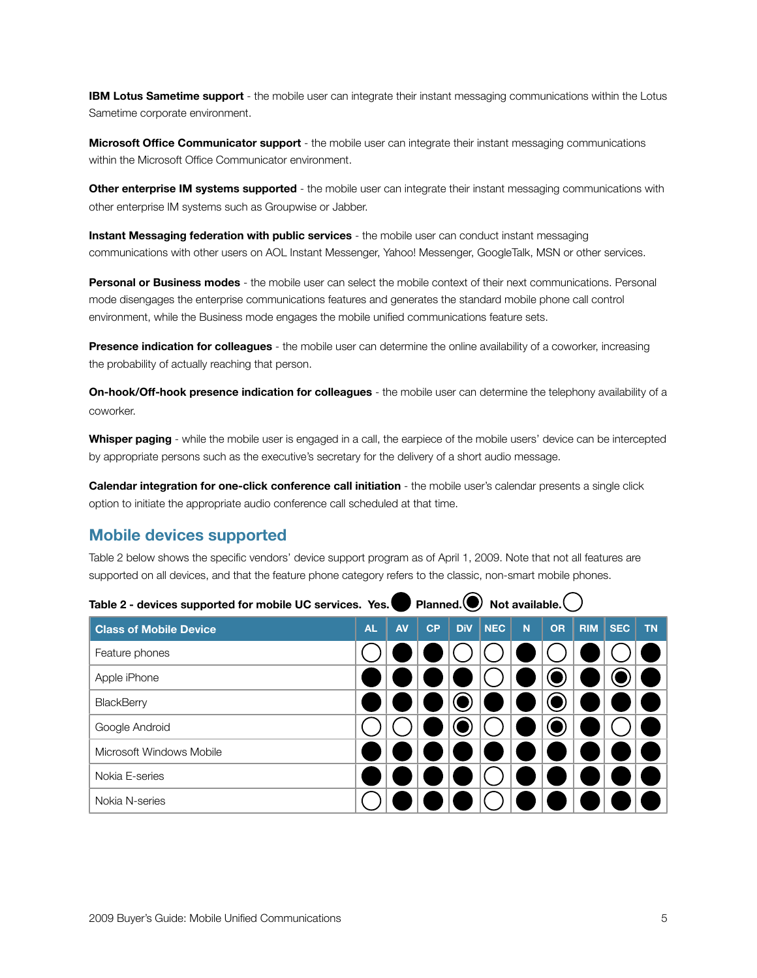**IBM Lotus Sametime support** - the mobile user can integrate their instant messaging communications within the Lotus Sametime corporate environment.

**Microsoft Office Communicator support** - the mobile user can integrate their instant messaging communications within the Microsoft Office Communicator environment.

**Other enterprise IM systems supported** - the mobile user can integrate their instant messaging communications with other enterprise IM systems such as Groupwise or Jabber.

**Instant Messaging federation with public services** - the mobile user can conduct instant messaging communications with other users on AOL Instant Messenger, Yahoo! Messenger, GoogleTalk, MSN or other services.

**Personal or Business modes** - the mobile user can select the mobile context of their next communications. Personal mode disengages the enterprise communications features and generates the standard mobile phone call control environment, while the Business mode engages the mobile unified communications feature sets.

**Presence indication for colleagues** - the mobile user can determine the online availability of a coworker, increasing the probability of actually reaching that person.

**On-hook/Off-hook presence indication for colleagues** - the mobile user can determine the telephony availability of a coworker.

**Whisper paging** - while the mobile user is engaged in a call, the earpiece of the mobile users' device can be intercepted by appropriate persons such as the executive's secretary for the delivery of a short audio message.

**Calendar integration for one-click conference call initiation** - the mobile user's calendar presents a single click option to initiate the appropriate audio conference call scheduled at that time.

#### **Mobile devices supported**

Table 2 below shows the specific vendors' device support program as of April 1, 2009. Note that not all features are supported on all devices, and that the feature phone category refers to the classic, non-smart mobile phones.

 $\rightarrow$ 

| Table 2 - devices supported for mobile UC services. Tes. Planned. $\rightarrow$ Not available. |           |           |    |            |            |   |           |            |            |           |
|------------------------------------------------------------------------------------------------|-----------|-----------|----|------------|------------|---|-----------|------------|------------|-----------|
| <b>Class of Mobile Device</b>                                                                  | <b>AL</b> | <b>AV</b> | CP | <b>DiV</b> | <b>NEC</b> | N | <b>OR</b> | <b>RIM</b> | <b>SEC</b> | <b>TN</b> |
| Feature phones                                                                                 |           |           |    |            |            |   |           |            |            |           |
| Apple iPhone                                                                                   |           |           |    |            |            |   |           |            |            |           |
| BlackBerry                                                                                     |           |           |    |            |            |   |           |            |            |           |
| Google Android                                                                                 |           |           |    |            |            |   |           |            |            |           |
| Microsoft Windows Mobile                                                                       |           |           |    |            |            |   |           |            |            |           |
| Nokia E-series                                                                                 |           |           |    |            |            |   |           |            |            |           |
| Nokia N-series                                                                                 |           |           |    |            |            |   |           |            |            |           |

| Table 2 - devices supported for mobile UC services. Yes. Planned. Not available. |  |  |
|----------------------------------------------------------------------------------|--|--|
|----------------------------------------------------------------------------------|--|--|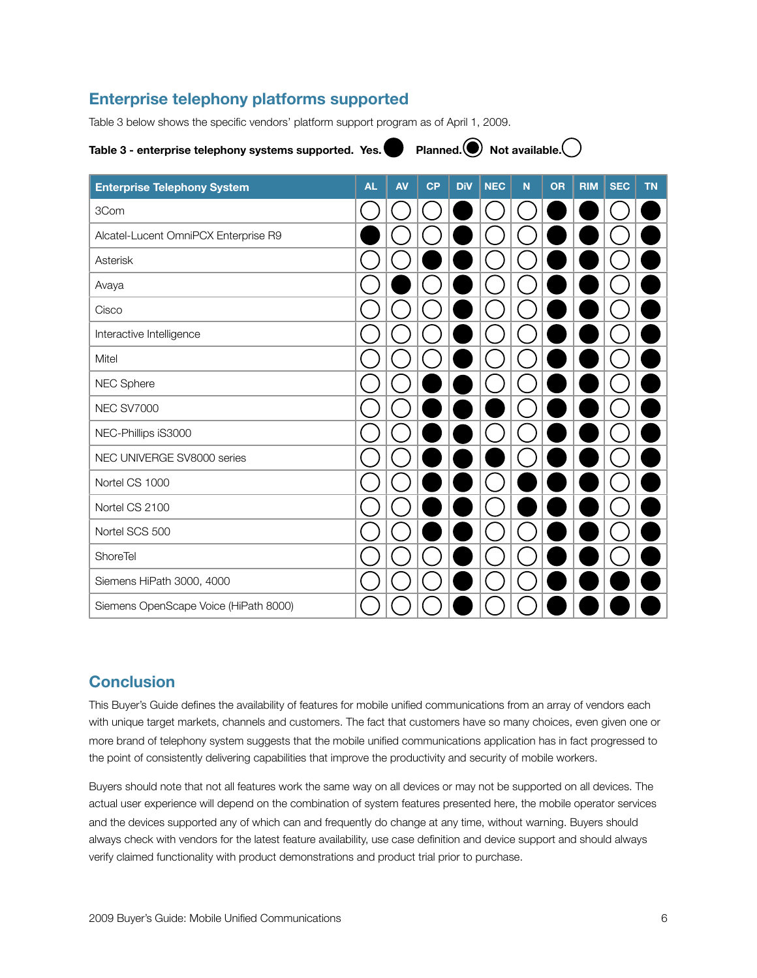## **Enterprise telephony platforms supported**

Table 3 below shows the specific vendors' platform support program as of April 1, 2009.

#### Table 3 - enterprise telephony systems supported. Yes. Planned.  $\bigcirc$  Not available.

| <b>Enterprise Telephony System</b>    | <b>AL</b> | <b>AV</b> | CP | <b>DiV</b> | <b>NEC</b> | N | <b>OR</b> | <b>RIM</b> | <b>SEC</b> | <b>TN</b> |
|---------------------------------------|-----------|-----------|----|------------|------------|---|-----------|------------|------------|-----------|
| 3Com                                  |           |           |    |            |            |   |           |            |            |           |
| Alcatel-Lucent OmniPCX Enterprise R9  |           |           |    |            |            |   |           |            |            |           |
| Asterisk                              |           |           |    |            |            |   |           |            |            |           |
| Avaya                                 |           |           |    |            |            |   |           |            |            |           |
| Cisco                                 |           |           |    |            |            |   |           |            |            |           |
| Interactive Intelligence              |           |           |    |            |            |   |           |            |            |           |
| Mitel                                 |           |           |    |            |            |   |           |            |            |           |
| NEC Sphere                            |           |           |    |            |            |   |           |            |            |           |
| <b>NEC SV7000</b>                     |           |           |    |            |            |   |           |            |            |           |
| NEC-Phillips iS3000                   |           |           |    |            |            |   |           |            |            |           |
| NEC UNIVERGE SV8000 series            |           |           |    |            |            |   |           |            |            |           |
| Nortel CS 1000                        |           |           |    |            |            |   |           |            |            |           |
| Nortel CS 2100                        |           |           |    |            |            |   |           |            |            |           |
| Nortel SCS 500                        |           |           |    |            |            |   |           |            |            |           |
| ShoreTel                              |           |           |    |            |            |   |           |            |            |           |
| Siemens HiPath 3000, 4000             |           |           |    |            |            |   |           |            |            |           |
| Siemens OpenScape Voice (HiPath 8000) |           |           |    |            |            |   |           |            |            |           |

### **Conclusion**

This Buyer's Guide defines the availability of features for mobile unified communications from an array of vendors each with unique target markets, channels and customers. The fact that customers have so many choices, even given one or more brand of telephony system suggests that the mobile unified communications application has in fact progressed to the point of consistently delivering capabilities that improve the productivity and security of mobile workers.

Buyers should note that not all features work the same way on all devices or may not be supported on all devices. The actual user experience will depend on the combination of system features presented here, the mobile operator services and the devices supported any of which can and frequently do change at any time, without warning. Buyers should always check with vendors for the latest feature availability, use case definition and device support and should always verify claimed functionality with product demonstrations and product trial prior to purchase.